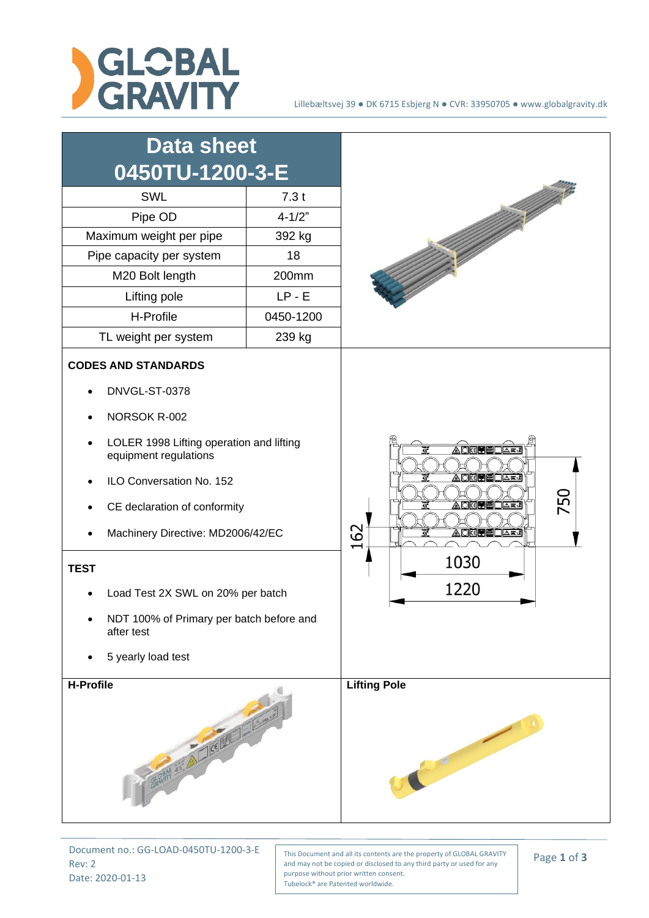

## Lillebæltsvej 39 ● DK 6715 Esbjerg N ● CVR: 33950705 ● www.globalgravity.dk



Document no.: GG-LOAD-0450TU-1200-3-E Rev: 2 Date: 2020-01-13

This Document and all its contents are the property of GLOBAL GRAVITY and may not be copied or disclosed to any third party or used for any purpose without prior written consent. Tubelock® are Patented worldwide.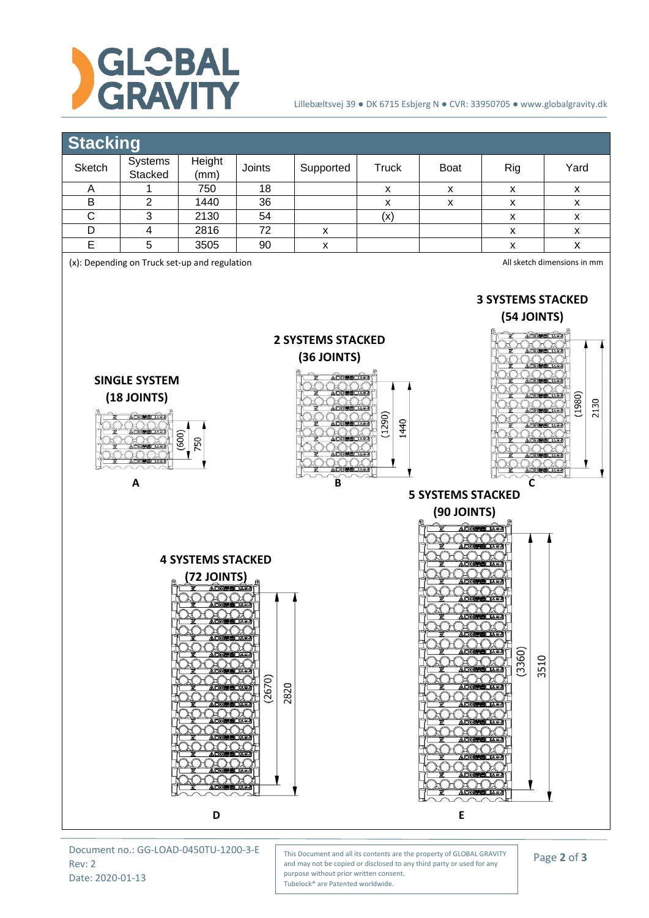

## Lillebæltsvej 39 ● DK 6715 Esbjerg N ● CVR: 33950705 ● www.globalgravity.dk

## **Stacking**

| Sketch                                                                                                   | w<br>Systems                                                    | Height                                                                                                                                                                           | Joints                                                          | Supported                                                                                                  | <b>Truck</b> | Boat                                                                                                                                                                     | Rig                                                                                    | Yard               |  |  |  |  |  |
|----------------------------------------------------------------------------------------------------------|-----------------------------------------------------------------|----------------------------------------------------------------------------------------------------------------------------------------------------------------------------------|-----------------------------------------------------------------|------------------------------------------------------------------------------------------------------------|--------------|--------------------------------------------------------------------------------------------------------------------------------------------------------------------------|----------------------------------------------------------------------------------------|--------------------|--|--|--|--|--|
|                                                                                                          | Stacked                                                         | (mm)                                                                                                                                                                             |                                                                 |                                                                                                            |              |                                                                                                                                                                          |                                                                                        |                    |  |  |  |  |  |
| A<br>$\sf B$                                                                                             | 1<br>$\overline{2}$                                             | 750<br>1440                                                                                                                                                                      | 18<br>36                                                        |                                                                                                            | X<br>X       | X<br>$\pmb{\mathsf{X}}$                                                                                                                                                  | X<br>$\pmb{\mathsf{X}}$                                                                | X<br>X             |  |  |  |  |  |
| $\overline{C}$                                                                                           | $\ensuremath{\mathsf{3}}$                                       | 2130                                                                                                                                                                             | 54                                                              |                                                                                                            | (x)          |                                                                                                                                                                          | $\pmb{\mathsf{X}}$                                                                     | X                  |  |  |  |  |  |
| D                                                                                                        | $\overline{\mathbf{4}}$                                         | 2816                                                                                                                                                                             | 72                                                              | X                                                                                                          |              |                                                                                                                                                                          | $\pmb{\mathsf{X}}$                                                                     | $\pmb{\mathsf{x}}$ |  |  |  |  |  |
| E                                                                                                        | 5                                                               | 3505                                                                                                                                                                             | 90                                                              | X                                                                                                          |              |                                                                                                                                                                          | $\pmb{\chi}$                                                                           | $\pmb{\mathsf{x}}$ |  |  |  |  |  |
| (x): Depending on Truck set-up and regulation<br>All sketch dimensions in mm<br><b>3 SYSTEMS STACKED</b> |                                                                 |                                                                                                                                                                                  |                                                                 |                                                                                                            |              |                                                                                                                                                                          |                                                                                        |                    |  |  |  |  |  |
|                                                                                                          | <b>SINGLE SYSTEM</b><br>$(18$ JOINTS)<br><b>ADKIMEロムエイ</b><br>A | (600)<br>750                                                                                                                                                                     |                                                                 | <b>2 SYSTEMS STACKED</b><br>(36 JOINTS)<br><b>ADREEDAR!</b><br><b>EEDARA</b><br>(1290)<br>1440<br>△東は<br>B |              |                                                                                                                                                                          | (54 JOINTS)<br><b>ADKINEDARJ</b> Y<br>(1980)<br>2130<br>C                              |                    |  |  |  |  |  |
|                                                                                                          |                                                                 |                                                                                                                                                                                  |                                                                 | <b>5 SYSTEMS STACKED</b>                                                                                   |              |                                                                                                                                                                          |                                                                                        |                    |  |  |  |  |  |
|                                                                                                          |                                                                 |                                                                                                                                                                                  |                                                                 |                                                                                                            |              | (90 JOINTS)                                                                                                                                                              |                                                                                        |                    |  |  |  |  |  |
|                                                                                                          |                                                                 | <b>4 SYSTEMS STACKED</b><br>72 JOINTS)<br><b>OKIS BLAK!</b><br><b>∆©k⊈⊞⊟∟∆≈∙</b><br><b><i>SKOME</i></b><br><b>Kokkelle</b><br>A KXRI<br><b>NORO</b><br><b>OKEEDAR!</b><br>AOKOHE | □△高4<br>(2670)<br>2820<br>□△※↓<br>上上架动<br>KB⊓∆≍J<br><b>□△≋√</b> |                                                                                                            |              | <b>AO<del>KEDELAE.</del></b><br><b>ADKOHOLAR</b><br><u> AOKU ⊞∟r∓J</u><br><b>ADKELLAR!</b><br><b>AOGPECA#J</b><br><b>A DKOVE</b><br><b>ADKEEDAW</b><br><b>ADKELELARJ</b> | <b>ADKEHELARA</b><br>(3360)<br>3510<br><b>NOKE HELEE!</b><br>∐∆a‰<br><b>ADKE BLARI</b> |                    |  |  |  |  |  |
|                                                                                                          |                                                                 | D                                                                                                                                                                                |                                                                 | E                                                                                                          |              |                                                                                                                                                                          |                                                                                        |                    |  |  |  |  |  |

Document no.: GG-LOAD-0450TU-1200-3-E Rev: 2 Date: 2020-01-13

This Document and all its contents are the property of GLOBAL GRAVITY and may not be copied or disclosed to any third party or used for any purpose without prior written consent. Tubelock® are Patented worldwide.

Page **2** of **3**